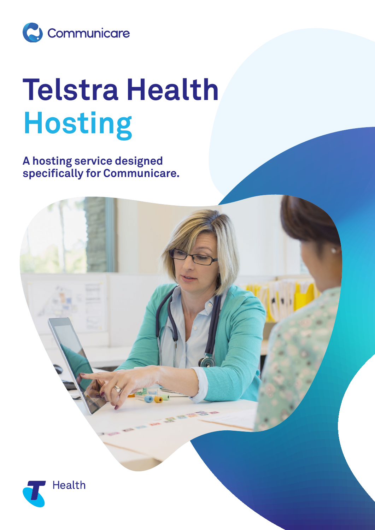

## **Telstra Health Hosting**

**A hosting service designed specifically for Communicare.**